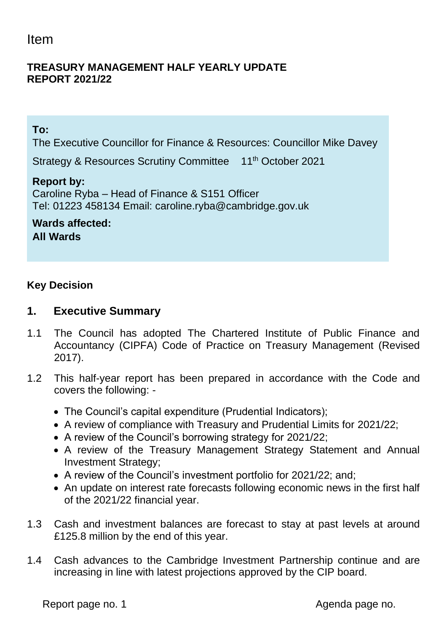# Item

#### **TREASURY MANAGEMENT HALF YEARLY UPDATE REPORT 2021/22**

#### **To:**

The Executive Councillor for Finance & Resources: Councillor Mike Davey

Strategy & Resources Scrutiny Committee 11<sup>th</sup> October 2021

#### **Report by:**

Caroline Ryba – Head of Finance & S151 Officer Tel: 01223 458134 Email: caroline.ryba@cambridge.gov.uk

**Wards affected: All Wards**

#### **Key Decision**

#### **1. Executive Summary**

- 1.1 The Council has adopted The Chartered Institute of Public Finance and Accountancy (CIPFA) Code of Practice on Treasury Management (Revised 2017).
- 1.2 This half-year report has been prepared in accordance with the Code and covers the following: -
	- The Council's capital expenditure (Prudential Indicators);
	- A review of compliance with Treasury and Prudential Limits for 2021/22;
	- A review of the Council's borrowing strategy for 2021/22;
	- A review of the Treasury Management Strategy Statement and Annual Investment Strategy;
	- A review of the Council's investment portfolio for 2021/22; and;
	- An update on interest rate forecasts following economic news in the first half of the 2021/22 financial year.
- 1.3 Cash and investment balances are forecast to stay at past levels at around £125.8 million by the end of this year.
- 1.4 Cash advances to the Cambridge Investment Partnership continue and are increasing in line with latest projections approved by the CIP board.

Report page no. 1 and 1 and 2 and 2 and 2 and 2 and 2 and 2 and 2 and 2 and 2 and 2 and 2 and 2 and 2 and 2 and 2 and 2 and 2 and 2 and 2 and 2 and 2 and 2 and 2 and 2 and 2 and 2 and 2 and 2 and 2 and 2 and 2 and 2 and 2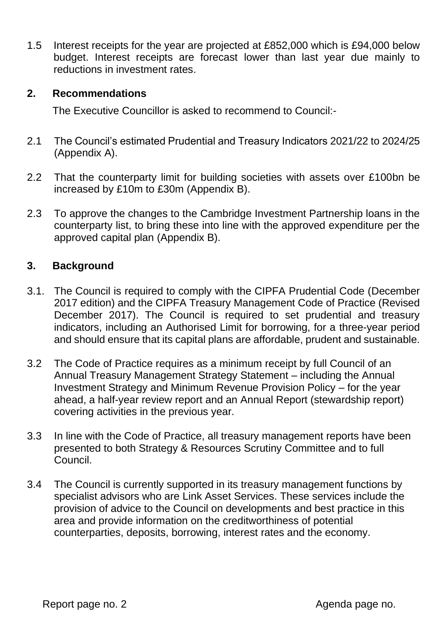1.5 Interest receipts for the year are projected at £852,000 which is £94,000 below budget. Interest receipts are forecast lower than last year due mainly to reductions in investment rates.

#### **2. Recommendations**

The Executive Councillor is asked to recommend to Council:-

- 2.1 The Council's estimated Prudential and Treasury Indicators 2021/22 to 2024/25 (Appendix A).
- 2.2 That the counterparty limit for building societies with assets over £100bn be increased by £10m to £30m (Appendix B).
- 2.3 To approve the changes to the Cambridge Investment Partnership loans in the counterparty list, to bring these into line with the approved expenditure per the approved capital plan (Appendix B).

#### **3. Background**

- 3.1. The Council is required to comply with the CIPFA Prudential Code (December 2017 edition) and the CIPFA Treasury Management Code of Practice (Revised December 2017). The Council is required to set prudential and treasury indicators, including an Authorised Limit for borrowing, for a three-year period and should ensure that its capital plans are affordable, prudent and sustainable.
- 3.2 The Code of Practice requires as a minimum receipt by full Council of an Annual Treasury Management Strategy Statement – including the Annual Investment Strategy and Minimum Revenue Provision Policy – for the year ahead, a half-year review report and an Annual Report (stewardship report) covering activities in the previous year.
- 3.3 In line with the Code of Practice, all treasury management reports have been presented to both Strategy & Resources Scrutiny Committee and to full Council.
- 3.4 The Council is currently supported in its treasury management functions by specialist advisors who are Link Asset Services. These services include the provision of advice to the Council on developments and best practice in this area and provide information on the creditworthiness of potential counterparties, deposits, borrowing, interest rates and the economy.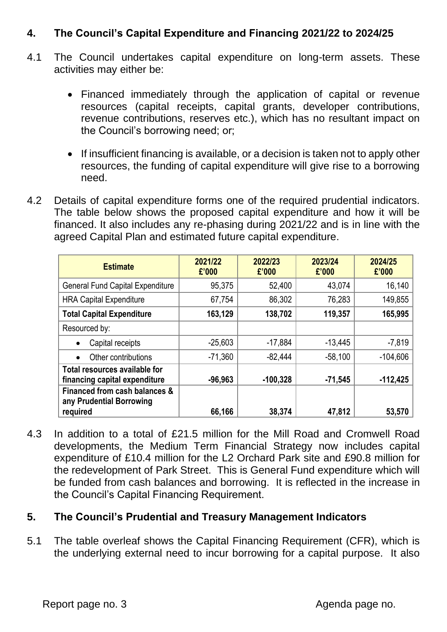### **4. The Council's Capital Expenditure and Financing 2021/22 to 2024/25**

- 4.1 The Council undertakes capital expenditure on long-term assets. These activities may either be:
	- Financed immediately through the application of capital or revenue resources (capital receipts, capital grants, developer contributions, revenue contributions, reserves etc.), which has no resultant impact on the Council's borrowing need; or;
	- If insufficient financing is available, or a decision is taken not to apply other resources, the funding of capital expenditure will give rise to a borrowing need.
- 4.2 Details of capital expenditure forms one of the required prudential indicators. The table below shows the proposed capital expenditure and how it will be financed. It also includes any re-phasing during 2021/22 and is in line with the agreed Capital Plan and estimated future capital expenditure.

| <b>Estimate</b>                                                       | 2021/22<br>£'000 | 2022/23<br>£'000 | 2023/24<br>£'000 | 2024/25<br>£'000 |
|-----------------------------------------------------------------------|------------------|------------------|------------------|------------------|
| <b>General Fund Capital Expenditure</b>                               | 95,375           | 52,400           | 43,074           | 16,140           |
| <b>HRA Capital Expenditure</b>                                        | 67,754           | 86,302           | 76,283           | 149,855          |
| <b>Total Capital Expenditure</b>                                      | 163,129          | 138,702          | 119,357          | 165,995          |
| Resourced by:                                                         |                  |                  |                  |                  |
| Capital receipts                                                      | $-25,603$        | $-17,884$        | $-13,445$        | $-7,819$         |
| Other contributions                                                   | $-71,360$        | $-82,444$        | $-58,100$        | $-104,606$       |
| Total resources available for<br>financing capital expenditure        | $-96,963$        | $-100,328$       | $-71,545$        | $-112,425$       |
| Financed from cash balances &<br>any Prudential Borrowing<br>required | 66,166           | 38,374           | 47,812           | 53,570           |

4.3 In addition to a total of £21.5 million for the Mill Road and Cromwell Road developments, the Medium Term Financial Strategy now includes capital expenditure of £10.4 million for the L2 Orchard Park site and £90.8 million for the redevelopment of Park Street. This is General Fund expenditure which will be funded from cash balances and borrowing. It is reflected in the increase in the Council's Capital Financing Requirement.

#### **5. The Council's Prudential and Treasury Management Indicators**

5.1 The table overleaf shows the Capital Financing Requirement (CFR), which is the underlying external need to incur borrowing for a capital purpose. It also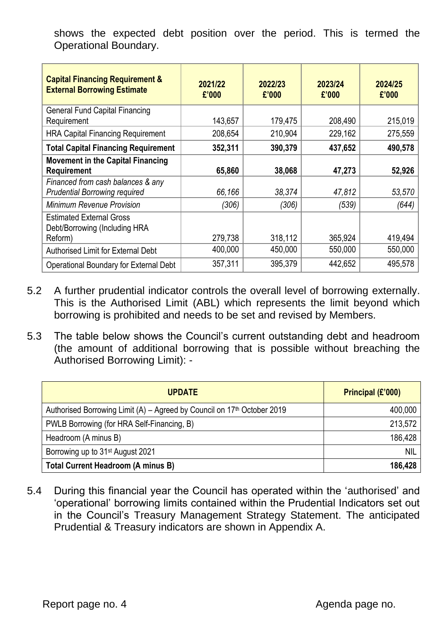shows the expected debt position over the period. This is termed the Operational Boundary.

| <b>Capital Financing Requirement &amp;</b><br><b>External Borrowing Estimate</b> | 2021/22<br>£'000 | 2022/23<br>£'000 | 2023/24<br>£'000 | 2024/25<br>£'000 |
|----------------------------------------------------------------------------------|------------------|------------------|------------------|------------------|
| <b>General Fund Capital Financing</b><br>Requirement                             | 143,657          | 179,475          | 208,490          | 215,019          |
| <b>HRA Capital Financing Requirement</b>                                         | 208,654          | 210,904          | 229,162          | 275,559          |
| <b>Total Capital Financing Requirement</b>                                       | 352,311          | 390,379          | 437,652          | 490,578          |
| <b>Movement in the Capital Financing</b><br><b>Requirement</b>                   | 65,860           | 38,068           | 47,273           | 52,926           |
| Financed from cash balances & any<br><b>Prudential Borrowing required</b>        | 66,166           | 38,374           | 47,812           | 53,570           |
| <b>Minimum Revenue Provision</b>                                                 | (306)            | (306)            | (539)            | (644)            |
| <b>Estimated External Gross</b><br>Debt/Borrowing (Including HRA<br>Reform)      | 279,738          | 318,112          | 365,924          | 419,494          |
| <b>Authorised Limit for External Debt</b>                                        | 400,000          | 450,000          | 550,000          | 550,000          |
| Operational Boundary for External Debt                                           | 357,311          | 395,379          | 442,652          | 495,578          |

- 5.2 A further prudential indicator controls the overall level of borrowing externally. This is the Authorised Limit (ABL) which represents the limit beyond which borrowing is prohibited and needs to be set and revised by Members.
- 5.3 The table below shows the Council's current outstanding debt and headroom (the amount of additional borrowing that is possible without breaching the Authorised Borrowing Limit): -

| <b>UPDATE</b>                                                                       | Principal (£'000) |
|-------------------------------------------------------------------------------------|-------------------|
| Authorised Borrowing Limit (A) – Agreed by Council on 17 <sup>th</sup> October 2019 | 400,000           |
| PWLB Borrowing (for HRA Self-Financing, B)                                          | 213,572           |
| Headroom (A minus B)                                                                | 186,428           |
| Borrowing up to 31 <sup>st</sup> August 2021                                        | <b>NIL</b>        |
| <b>Total Current Headroom (A minus B)</b>                                           | 186,428           |

5.4 During this financial year the Council has operated within the 'authorised' and 'operational' borrowing limits contained within the Prudential Indicators set out in the Council's Treasury Management Strategy Statement. The anticipated Prudential & Treasury indicators are shown in Appendix A.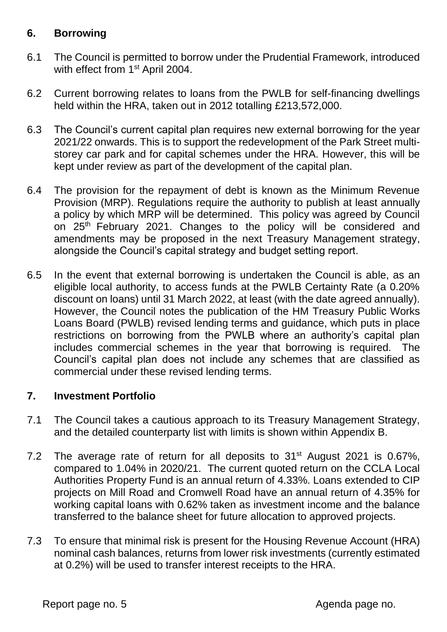#### **6. Borrowing**

- 6.1 The Council is permitted to borrow under the Prudential Framework, introduced with effect from 1<sup>st</sup> April 2004.
- 6.2 Current borrowing relates to loans from the PWLB for self-financing dwellings held within the HRA, taken out in 2012 totalling £213,572,000.
- 6.3 The Council's current capital plan requires new external borrowing for the year 2021/22 onwards. This is to support the redevelopment of the Park Street multistorey car park and for capital schemes under the HRA. However, this will be kept under review as part of the development of the capital plan.
- 6.4 The provision for the repayment of debt is known as the Minimum Revenue Provision (MRP). Regulations require the authority to publish at least annually a policy by which MRP will be determined. This policy was agreed by Council on 25<sup>th</sup> February 2021. Changes to the policy will be considered and amendments may be proposed in the next Treasury Management strategy, alongside the Council's capital strategy and budget setting report.
- 6.5 In the event that external borrowing is undertaken the Council is able, as an eligible local authority, to access funds at the PWLB Certainty Rate (a 0.20% discount on loans) until 31 March 2022, at least (with the date agreed annually). However, the Council notes the publication of the HM Treasury Public Works Loans Board (PWLB) revised lending terms and guidance, which puts in place restrictions on borrowing from the PWLB where an authority's capital plan includes commercial schemes in the year that borrowing is required. The Council's capital plan does not include any schemes that are classified as commercial under these revised lending terms.

#### **7. Investment Portfolio**

- 7.1 The Council takes a cautious approach to its Treasury Management Strategy, and the detailed counterparty list with limits is shown within Appendix B.
- 7.2 The average rate of return for all deposits to  $31<sup>st</sup>$  August 2021 is 0.67%, compared to 1.04% in 2020/21. The current quoted return on the CCLA Local Authorities Property Fund is an annual return of 4.33%. Loans extended to CIP projects on Mill Road and Cromwell Road have an annual return of 4.35% for working capital loans with 0.62% taken as investment income and the balance transferred to the balance sheet for future allocation to approved projects.
- 7.3 To ensure that minimal risk is present for the Housing Revenue Account (HRA) nominal cash balances, returns from lower risk investments (currently estimated at 0.2%) will be used to transfer interest receipts to the HRA.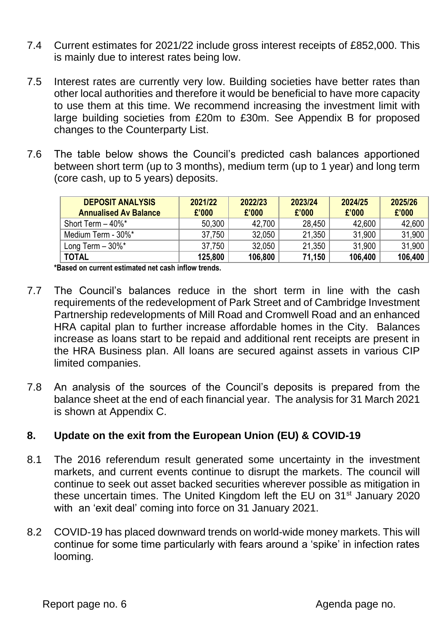- 7.4 Current estimates for 2021/22 include gross interest receipts of £852,000. This is mainly due to interest rates being low.
- 7.5 Interest rates are currently very low. Building societies have better rates than other local authorities and therefore it would be beneficial to have more capacity to use them at this time. We recommend increasing the investment limit with large building societies from £20m to £30m. See Appendix B for proposed changes to the Counterparty List.
- 7.6 The table below shows the Council's predicted cash balances apportioned between short term (up to 3 months), medium term (up to 1 year) and long term (core cash, up to 5 years) deposits.

| <b>DEPOSIT ANALYSIS</b><br><b>Annualised Av Balance</b> | 2021/22<br>£'000 | 2022/23<br>£'000 | 2023/24<br>£'000 | 2024/25<br>£'000 | 2025/26<br>£'000 |
|---------------------------------------------------------|------------------|------------------|------------------|------------------|------------------|
| Short Term $-40\%$ *                                    | 50,300           | 42,700           | 28,450           | 42,600           | 42,600           |
| Medium Term - 30%*                                      | 37,750           | 32,050           | 21,350           | 31,900           | 31,900           |
| Long Term $-30\%$ *                                     | 37,750           | 32,050           | 21,350           | 31,900           | 31,900           |
| <b>TOTAL</b>                                            | 125,800          | 106,800          | 71,150           | 106,400          | 106,400          |

**\*Based on current estimated net cash inflow trends.**

- 7.7 The Council's balances reduce in the short term in line with the cash requirements of the redevelopment of Park Street and of Cambridge Investment Partnership redevelopments of Mill Road and Cromwell Road and an enhanced HRA capital plan to further increase affordable homes in the City. Balances increase as loans start to be repaid and additional rent receipts are present in the HRA Business plan. All loans are secured against assets in various CIP limited companies.
- 7.8 An analysis of the sources of the Council's deposits is prepared from the balance sheet at the end of each financial year. The analysis for 31 March 2021 is shown at Appendix C.

### **8. Update on the exit from the European Union (EU) & COVID-19**

- 8.1 The 2016 referendum result generated some uncertainty in the investment markets, and current events continue to disrupt the markets. The council will continue to seek out asset backed securities wherever possible as mitigation in these uncertain times. The United Kingdom left the EU on 31<sup>st</sup> January 2020 with an 'exit deal' coming into force on 31 January 2021.
- 8.2 COVID-19 has placed downward trends on world-wide money markets. This will continue for some time particularly with fears around a 'spike' in infection rates looming.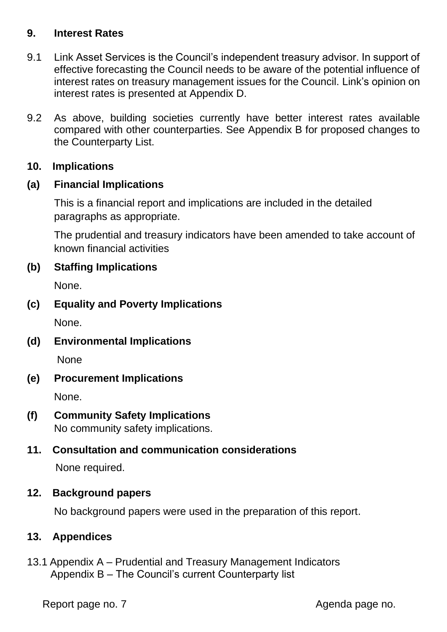#### **9. Interest Rates**

- 9.1 Link Asset Services is the Council's independent treasury advisor. In support of effective forecasting the Council needs to be aware of the potential influence of interest rates on treasury management issues for the Council. Link's opinion on interest rates is presented at Appendix D.
- 9.2 As above, building societies currently have better interest rates available compared with other counterparties. See Appendix B for proposed changes to the Counterparty List.

#### **10. Implications**

#### **(a) Financial Implications**

This is a financial report and implications are included in the detailed paragraphs as appropriate.

The prudential and treasury indicators have been amended to take account of known financial activities

#### **(b) Staffing Implications**

None.

#### **(c) Equality and Poverty Implications**

None.

**(d) Environmental Implications**

None

#### **(e) Procurement Implications**

None.

# **(f) Community Safety Implications**

No community safety implications.

#### **11. Consultation and communication considerations**

None required.

#### **12. Background papers**

No background papers were used in the preparation of this report.

#### **13. Appendices**

13.1 Appendix A – Prudential and Treasury Management Indicators Appendix B – The Council's current Counterparty list

Report page no. 7 and 10 and 20 and 20 and 20 and 20 and 20 and 20 and 20 and 20 and 20 and 20 and 20 and 20 and 20 and 20 and 20 and 20 and 20 and 20 and 20 and 20 and 20 and 20 and 20 and 20 and 20 and 20 and 20 and 20 a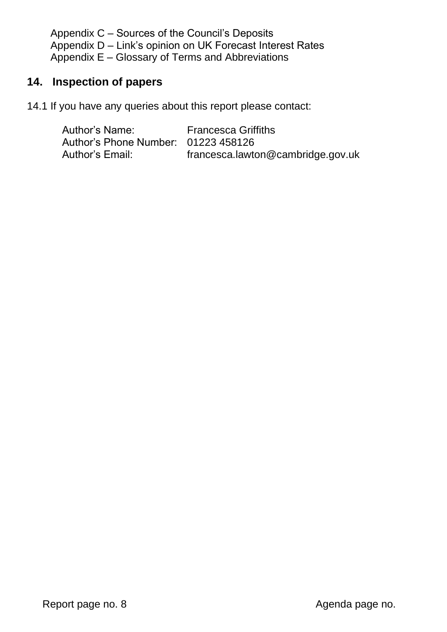Appendix C – Sources of the Council's Deposits Appendix D – Link's opinion on UK Forecast Interest Rates Appendix E – Glossary of Terms and Abbreviations

### **14. Inspection of papers**

14.1 If you have any queries about this report please contact:

| Author's Name:                      | <b>Francesca Griffiths</b>        |
|-------------------------------------|-----------------------------------|
| Author's Phone Number: 01223 458126 |                                   |
| Author's Email:                     | francesca.lawton@cambridge.gov.uk |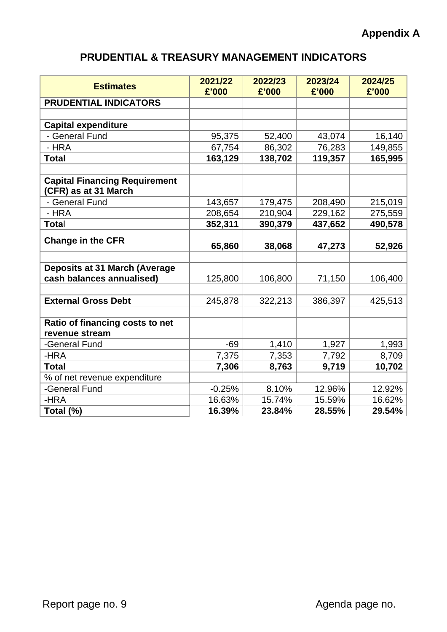# **PRUDENTIAL & TREASURY MANAGEMENT INDICATORS**

| <b>Estimates</b>                                             | 2021/22<br>£'000 | 2022/23<br>£'000 | 2023/24<br>£'000 | 2024/25<br>£'000 |
|--------------------------------------------------------------|------------------|------------------|------------------|------------------|
| <b>PRUDENTIAL INDICATORS</b>                                 |                  |                  |                  |                  |
|                                                              |                  |                  |                  |                  |
| <b>Capital expenditure</b>                                   |                  |                  |                  |                  |
| - General Fund                                               | 95,375           | 52,400           | 43,074           | 16,140           |
| - HRA                                                        | 67,754           | 86,302           | 76,283           | 149,855          |
| <b>Total</b>                                                 | 163,129          | 138,702          | 119,357          | 165,995          |
|                                                              |                  |                  |                  |                  |
| <b>Capital Financing Requirement</b><br>(CFR) as at 31 March |                  |                  |                  |                  |
| - General Fund                                               | 143,657          | 179,475          | 208,490          | 215,019          |
| - HRA                                                        | 208,654          | 210,904          | 229,162          | 275,559          |
| Total                                                        | 352,311          | 390,379          | 437,652          | 490,578          |
| <b>Change in the CFR</b>                                     | 65,860           | 38,068           | 47,273           | 52,926           |
|                                                              |                  |                  |                  |                  |
| <b>Deposits at 31 March (Average</b>                         |                  |                  |                  |                  |
| cash balances annualised)                                    | 125,800          | 106,800          | 71,150           | 106,400          |
|                                                              |                  |                  |                  |                  |
| <b>External Gross Debt</b>                                   | 245,878          | 322,213          | 386,397          | 425,513          |
|                                                              |                  |                  |                  |                  |
| Ratio of financing costs to net                              |                  |                  |                  |                  |
| revenue stream                                               |                  |                  |                  |                  |
| -General Fund                                                | $-69$            | 1,410            | 1,927            | 1,993            |
| -HRA                                                         | 7,375            | 7,353            | 7,792            | 8,709            |
| <b>Total</b>                                                 | 7,306            | 8,763            | 9,719            | 10,702           |
| % of net revenue expenditure                                 |                  |                  |                  |                  |
| -General Fund                                                | $-0.25%$         | 8.10%            | 12.96%           | 12.92%           |
| -HRA                                                         | 16.63%           | 15.74%           | 15.59%           | 16.62%           |
| Total (%)                                                    | 16.39%           | 23.84%           | 28.55%           | 29.54%           |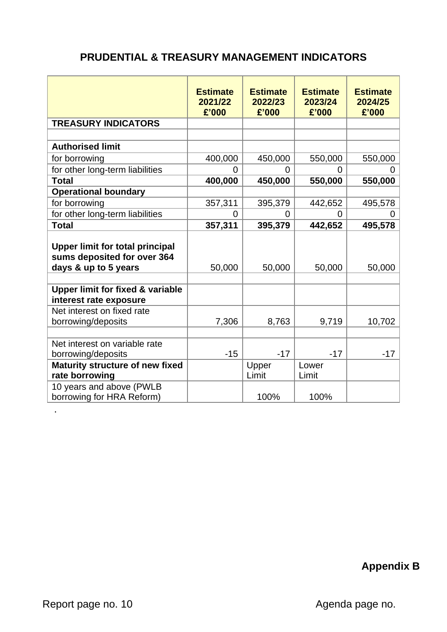# **PRUDENTIAL & TREASURY MANAGEMENT INDICATORS**

|                                                                                               | <b>Estimate</b><br>2021/22<br>£'000 | <b>Estimate</b><br>2022/23<br>£'000 | <b>Estimate</b><br>2023/24<br>£'000 | <b>Estimate</b><br>2024/25<br>£'000 |
|-----------------------------------------------------------------------------------------------|-------------------------------------|-------------------------------------|-------------------------------------|-------------------------------------|
| <b>TREASURY INDICATORS</b>                                                                    |                                     |                                     |                                     |                                     |
|                                                                                               |                                     |                                     |                                     |                                     |
| <b>Authorised limit</b>                                                                       |                                     |                                     |                                     |                                     |
| for borrowing                                                                                 | 400,000                             | 450,000                             | 550,000                             | 550,000                             |
| for other long-term liabilities                                                               | 0                                   | $\Omega$                            | 0                                   |                                     |
| <b>Total</b>                                                                                  | 400,000                             | 450,000                             | 550,000                             | 550,000                             |
| <b>Operational boundary</b>                                                                   |                                     |                                     |                                     |                                     |
| for borrowing                                                                                 | 357,311                             | 395,379                             | 442,652                             | 495,578                             |
| for other long-term liabilities                                                               | 0                                   | 0                                   | 0                                   |                                     |
| <b>Total</b>                                                                                  | 357,311                             | 395,379                             | 442,652                             | 495,578                             |
| <b>Upper limit for total principal</b><br>sums deposited for over 364<br>days & up to 5 years | 50,000                              | 50,000                              | 50,000                              | 50,000                              |
| <b>Upper limit for fixed &amp; variable</b><br>interest rate exposure                         |                                     |                                     |                                     |                                     |
| Net interest on fixed rate                                                                    |                                     |                                     |                                     |                                     |
| borrowing/deposits                                                                            | 7,306                               | 8,763                               | 9,719                               | 10,702                              |
| Net interest on variable rate<br>borrowing/deposits                                           | $-15$                               | $-17$                               | $-17$                               | $-17$                               |
| Maturity structure of new fixed<br>rate borrowing                                             |                                     | Upper<br>Limit                      | Lower<br>Limit                      |                                     |
| 10 years and above (PWLB<br>borrowing for HRA Reform)                                         |                                     | 100%                                | 100%                                |                                     |

**Appendix B**

.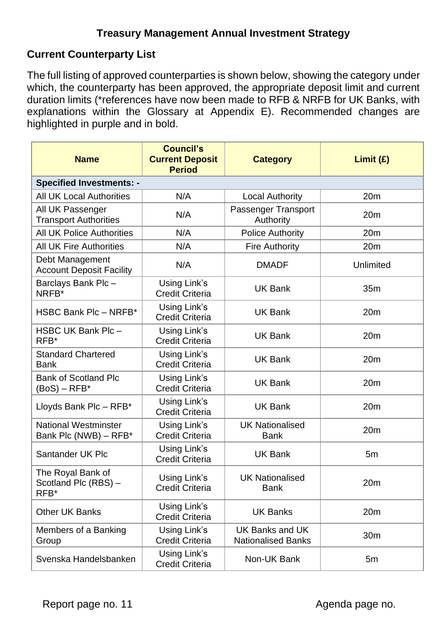### **Current Counterparty List**

The full listing of approved counterparties is shown below, showing the category under which, the counterparty has been approved, the appropriate deposit limit and current duration limits (\*references have now been made to RFB & NRFB for UK Banks, with explanations within the Glossary at Appendix E). Recommended changes are highlighted in purple and in bold.

| <b>Name</b>                                          | <b>Council's</b><br><b>Current Deposit</b><br><b>Period</b> | <b>Category</b>                              | Limit(f)        |
|------------------------------------------------------|-------------------------------------------------------------|----------------------------------------------|-----------------|
| <b>Specified Investments: -</b>                      |                                                             |                                              |                 |
| <b>All UK Local Authorities</b>                      | N/A                                                         | <b>Local Authority</b>                       | 20 <sub>m</sub> |
| All UK Passenger<br><b>Transport Authorities</b>     | N/A                                                         | Passenger Transport<br>Authority             | 20m             |
| <b>All UK Police Authorities</b>                     | N/A                                                         | <b>Police Authority</b>                      | 20 <sub>m</sub> |
| <b>All UK Fire Authorities</b>                       | N/A                                                         | <b>Fire Authority</b>                        | 20m             |
| Debt Management<br><b>Account Deposit Facility</b>   | N/A                                                         | <b>DMADF</b>                                 | Unlimited       |
| Barclays Bank Plc -<br>NRFB*                         | Using Link's<br><b>Credit Criteria</b>                      | <b>UK Bank</b>                               | 35 <sub>m</sub> |
| HSBC Bank Plc - NRFB*                                | Using Link's<br><b>Credit Criteria</b>                      | <b>UK Bank</b>                               | 20 <sub>m</sub> |
| HSBC UK Bank Plc-<br>RFB*                            | Using Link's<br><b>Credit Criteria</b>                      | <b>UK Bank</b>                               | 20m             |
| <b>Standard Chartered</b><br><b>Bank</b>             | Using Link's<br><b>Credit Criteria</b>                      | <b>UK Bank</b>                               | 20 <sub>m</sub> |
| <b>Bank of Scotland Plc</b><br>$(BoS) - RFB*$        | Using Link's<br><b>Credit Criteria</b>                      | <b>UK Bank</b>                               | 20 <sub>m</sub> |
| Lloyds Bank Plc - RFB*                               | Using Link's<br><b>Credit Criteria</b>                      | <b>UK Bank</b>                               | 20m             |
| <b>National Westminster</b><br>Bank Plc (NWB) - RFB* | Using Link's<br><b>Credit Criteria</b>                      | <b>UK Nationalised</b><br><b>Bank</b>        | 20m             |
| Santander UK Plc                                     | Using Link's<br><b>Credit Criteria</b>                      | <b>UK Bank</b>                               | 5m              |
| The Royal Bank of<br>Scotland Plc (RBS) -<br>RFB*    | Using Link's<br><b>Credit Criteria</b>                      | <b>UK Nationalised</b><br><b>Bank</b>        | 20m             |
| <b>Other UK Banks</b>                                | Using Link's<br><b>Credit Criteria</b>                      | <b>UK Banks</b>                              | 20 <sub>m</sub> |
| Members of a Banking<br>Group                        | Using Link's<br><b>Credit Criteria</b>                      | UK Banks and UK<br><b>Nationalised Banks</b> | 30m             |
| Svenska Handelsbanken                                | Using Link's<br><b>Credit Criteria</b>                      | Non-UK Bank                                  | 5m              |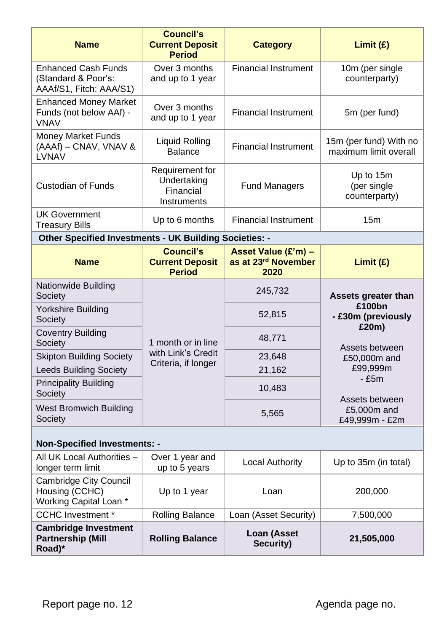| <b>Name</b>                                                                  | <b>Council's</b><br><b>Current Deposit</b><br><b>Period</b> | <b>Category</b>                                                | Limit(E)                                        |
|------------------------------------------------------------------------------|-------------------------------------------------------------|----------------------------------------------------------------|-------------------------------------------------|
| <b>Enhanced Cash Funds</b><br>(Standard & Poor's:<br>AAAf/S1, Fitch: AAA/S1) | Over 3 months<br>and up to 1 year                           | <b>Financial Instrument</b>                                    | 10m (per single<br>counterparty)                |
| <b>Enhanced Money Market</b><br>Funds (not below AAf) -<br><b>VNAV</b>       | Over 3 months<br>and up to 1 year                           | <b>Financial Instrument</b>                                    | 5m (per fund)                                   |
| <b>Money Market Funds</b><br>(AAAf) – CNAV, VNAV &<br><b>LVNAV</b>           | <b>Liquid Rolling</b><br><b>Balance</b>                     | <b>Financial Instrument</b>                                    | 15m (per fund) With no<br>maximum limit overall |
| <b>Custodian of Funds</b>                                                    | Requirement for<br>Undertaking<br>Financial<br>Instruments  | <b>Fund Managers</b>                                           | Up to 15m<br>(per single<br>counterparty)       |
| <b>UK Government</b><br><b>Treasury Bills</b>                                | Up to 6 months                                              | <b>Financial Instrument</b>                                    | 15 <sub>m</sub>                                 |
| Other Specified Investments - UK Building Societies: -                       |                                                             |                                                                |                                                 |
| <b>Name</b>                                                                  | <b>Council's</b><br><b>Current Deposit</b><br><b>Period</b> | Asset Value (£'m) -<br>as at 23 <sup>rd</sup> November<br>2020 | Limit(E)                                        |
| <b>Nationwide Building</b><br>Society                                        |                                                             | 245,732                                                        | <b>Assets greater than</b>                      |
| Yorkshire Building<br>Society                                                |                                                             | 52,815                                                         | £100bn<br>- £30m (previously<br>£20m)           |
| <b>Coventry Building</b><br>Society                                          | 1 month or in line                                          | 48,771                                                         | Assets between                                  |
| <b>Skipton Building Society</b>                                              | with Link's Credit<br>Criteria, if longer                   | 23,648                                                         | £50,000m and                                    |
| <b>Leeds Building Society</b>                                                |                                                             | 21,162                                                         | £99,999m<br>$-£5m$                              |
| <b>Principality Building</b><br>Society                                      |                                                             | 10,483                                                         | Assets between                                  |
| <b>West Bromwich Building</b><br>Society                                     |                                                             | 5,565                                                          | £5,000m and<br>£49,999m - £2m                   |
| <b>Non-Specified Investments: -</b>                                          |                                                             |                                                                |                                                 |
| All UK Local Authorities -<br>longer term limit                              | Over 1 year and<br>up to 5 years                            | <b>Local Authority</b>                                         | Up to 35m (in total)                            |
| <b>Cambridge City Council</b><br>Housing (CCHC)<br>Working Capital Loan *    | Up to 1 year                                                | Loan                                                           | 200,000                                         |
| <b>CCHC Investment *</b>                                                     | <b>Rolling Balance</b>                                      | Loan (Asset Security)                                          | 7,500,000                                       |
| <b>Cambridge Investment</b><br><b>Partnership (Mill</b><br>Road)*            | <b>Rolling Balance</b>                                      | <b>Loan (Asset</b><br><b>Security)</b>                         | 21,505,000                                      |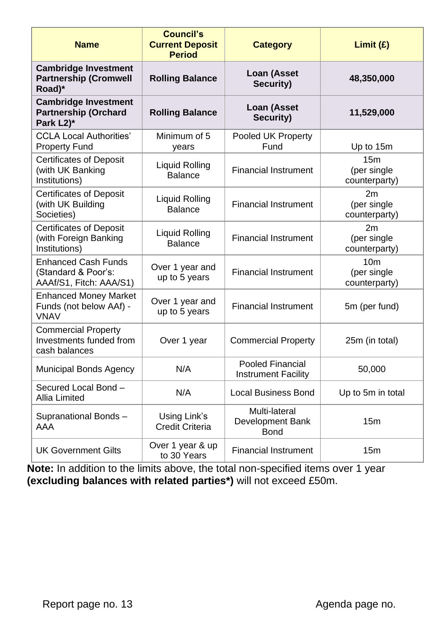| <b>Name</b>                                                                  | <b>Council's</b><br><b>Current Deposit</b><br><b>Period</b> | <b>Category</b>                                         | Limit (E)                                       |
|------------------------------------------------------------------------------|-------------------------------------------------------------|---------------------------------------------------------|-------------------------------------------------|
| <b>Cambridge Investment</b><br><b>Partnership (Cromwell</b><br>Road)*        | <b>Rolling Balance</b>                                      | Loan (Asset<br>Security)                                | 48,350,000                                      |
| <b>Cambridge Investment</b><br><b>Partnership (Orchard</b><br>Park L2)*      | <b>Rolling Balance</b>                                      | <b>Loan (Asset</b><br>Security)                         | 11,529,000                                      |
| <b>CCLA Local Authorities'</b><br><b>Property Fund</b>                       | Minimum of 5<br>years                                       | Pooled UK Property<br>Fund                              | Up to 15m                                       |
| <b>Certificates of Deposit</b><br>(with UK Banking<br>Institutions)          | <b>Liquid Rolling</b><br><b>Balance</b>                     | <b>Financial Instrument</b>                             | 15m<br>(per single<br>counterparty)             |
| <b>Certificates of Deposit</b><br>(with UK Building<br>Societies)            | <b>Liquid Rolling</b><br><b>Balance</b>                     | <b>Financial Instrument</b>                             | 2m<br>(per single<br>counterparty)              |
| <b>Certificates of Deposit</b><br>(with Foreign Banking<br>Institutions)     | <b>Liquid Rolling</b><br><b>Balance</b>                     | <b>Financial Instrument</b>                             | 2m<br>(per single<br>counterparty)              |
| <b>Enhanced Cash Funds</b><br>(Standard & Poor's:<br>AAAf/S1, Fitch: AAA/S1) | Over 1 year and<br>up to 5 years                            | <b>Financial Instrument</b>                             | 10 <sub>m</sub><br>(per single<br>counterparty) |
| <b>Enhanced Money Market</b><br>Funds (not below AAf) -<br><b>VNAV</b>       | Over 1 year and<br>up to 5 years                            | <b>Financial Instrument</b>                             | 5m (per fund)                                   |
| <b>Commercial Property</b><br>Investments funded from<br>cash balances       | Over 1 year                                                 | <b>Commercial Property</b>                              | 25m (in total)                                  |
| <b>Municipal Bonds Agency</b>                                                | N/A                                                         | Pooled Financial<br><b>Instrument Facility</b>          | 50,000                                          |
| Secured Local Bond -<br><b>Allia Limited</b>                                 | N/A                                                         | <b>Local Business Bond</b>                              | Up to 5m in total                               |
| Supranational Bonds-<br>AAA                                                  | Using Link's<br><b>Credit Criteria</b>                      | Multi-lateral<br><b>Development Bank</b><br><b>Bond</b> | 15m                                             |
| <b>UK Government Gilts</b>                                                   | Over 1 year & up<br>to 30 Years                             | <b>Financial Instrument</b>                             | 15m                                             |

**Note:** In addition to the limits above, the total non-specified items over 1 year **(excluding balances with related parties\*)** will not exceed £50m.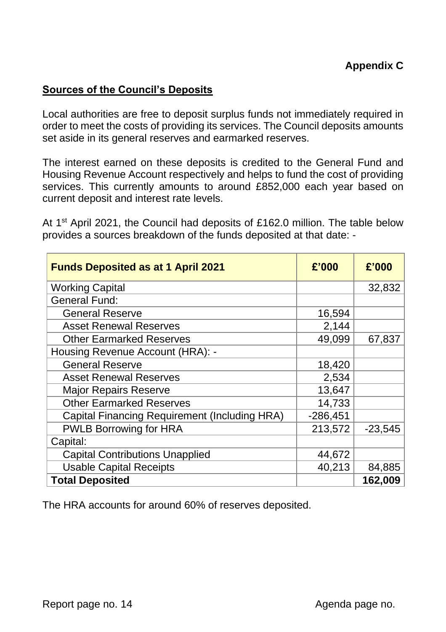#### **Sources of the Council's Deposits**

Local authorities are free to deposit surplus funds not immediately required in order to meet the costs of providing its services. The Council deposits amounts set aside in its general reserves and earmarked reserves.

The interest earned on these deposits is credited to the General Fund and Housing Revenue Account respectively and helps to fund the cost of providing services. This currently amounts to around £852,000 each year based on current deposit and interest rate levels.

At 1<sup>st</sup> April 2021, the Council had deposits of £162.0 million. The table below provides a sources breakdown of the funds deposited at that date: -

| <b>Funds Deposited as at 1 April 2021</b>            | £'000      | £'000     |
|------------------------------------------------------|------------|-----------|
| <b>Working Capital</b>                               |            | 32,832    |
| <b>General Fund:</b>                                 |            |           |
| <b>General Reserve</b>                               | 16,594     |           |
| <b>Asset Renewal Reserves</b>                        | 2,144      |           |
| <b>Other Earmarked Reserves</b>                      | 49,099     | 67,837    |
| Housing Revenue Account (HRA): -                     |            |           |
| <b>General Reserve</b>                               | 18,420     |           |
| <b>Asset Renewal Reserves</b>                        | 2,534      |           |
| <b>Major Repairs Reserve</b>                         | 13,647     |           |
| <b>Other Earmarked Reserves</b>                      | 14,733     |           |
| <b>Capital Financing Requirement (Including HRA)</b> | $-286,451$ |           |
| <b>PWLB Borrowing for HRA</b>                        | 213,572    | $-23,545$ |
| Capital:                                             |            |           |
| <b>Capital Contributions Unapplied</b>               | 44,672     |           |
| <b>Usable Capital Receipts</b>                       | 40,213     | 84,885    |
| <b>Total Deposited</b>                               |            | 162,009   |

The HRA accounts for around 60% of reserves deposited.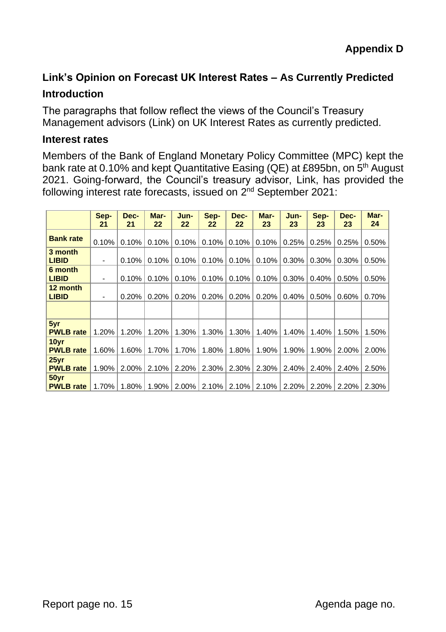### **Link's Opinion on Forecast UK Interest Rates – As Currently Predicted**

#### **Introduction**

The paragraphs that follow reflect the views of the Council's Treasury Management advisors (Link) on UK Interest Rates as currently predicted.

#### **Interest rates**

Members of the Bank of England Monetary Policy Committee (MPC) kept the bank rate at 0.10% and kept Quantitative Easing (QE) at £895bn, on 5<sup>th</sup> August 2021. Going-forward, the Council's treasury advisor, Link, has provided the following interest rate forecasts, issued on 2<sup>nd</sup> September 2021:

|                                      | Sep-<br>21               | Dec-<br>21 | Mar-<br>22 | Jun-<br>22 | Sep-<br>22 | Dec-<br>22 | Mar-<br>23 | Jun-<br>23 | Sep-<br>23 | Dec-<br>23 | Mar-<br>24 |
|--------------------------------------|--------------------------|------------|------------|------------|------------|------------|------------|------------|------------|------------|------------|
| <b>Bank rate</b>                     | 0.10%                    | 0.10%      | 0.10%      | 0.10%      | 0.10%      | 0.10%      | 0.10%      | 0.25%      | 0.25%      | 0.25%      | 0.50%      |
| 3 month<br><b>LIBID</b>              | $\overline{\phantom{a}}$ | 0.10%      | 0.10%      | 0.10%      | 0.10%      | 0.10%      | 0.10%      | 0.30%      | 0.30%      | 0.30%      | 0.50%      |
| 6 month<br><b>LIBID</b>              | $\overline{\phantom{a}}$ | 0.10%      | 0.10%      | 0.10%      | 0.10%      | 0.10%      | 0.10%      | 0.30%      | 0.40%      | 0.50%      | 0.50%      |
| 12 month<br><b>LIBID</b>             | $\overline{\phantom{a}}$ | 0.20%      | 0.20%      | 0.20%      | 0.20%      | 0.20%      | 0.20%      | 0.40%      | 0.50%      | 0.60%      | 0.70%      |
|                                      |                          |            |            |            |            |            |            |            |            |            |            |
| 5yr<br><b>PWLB</b> rate              | 1.20%                    | 1.20%      | 1.20%      | 1.30%      | 1.30%      | 1.30%      | 1.40%      | 1.40%      | 1.40%      | 1.50%      | 1.50%      |
| 10yr<br><b>PWLB</b> rate             | 1.60%                    | 1.60%      | 1.70%      | 1.70%      | 1.80%      | 1.80%      | 1.90%      | 1.90%      | 1.90%      | 2.00%      | 2.00%      |
| $25$ yr<br><b>PWLB</b> rate          | 1.90%                    | 2.00%      | 2.10%      | 2.20%      | 2.30%      | 2.30%      | 2.30%      | 2.40%      | 2.40%      | 2.40%      | 2.50%      |
| 50 <sub>yr</sub><br><b>PWLB</b> rate | 1.70%                    | 1.80%      | 1.90%      | 2.00%      | 2.10%      | 2.10%      | 2.10%      | 2.20%      | 2.20%      | 2.20%      | $2.30\%$   |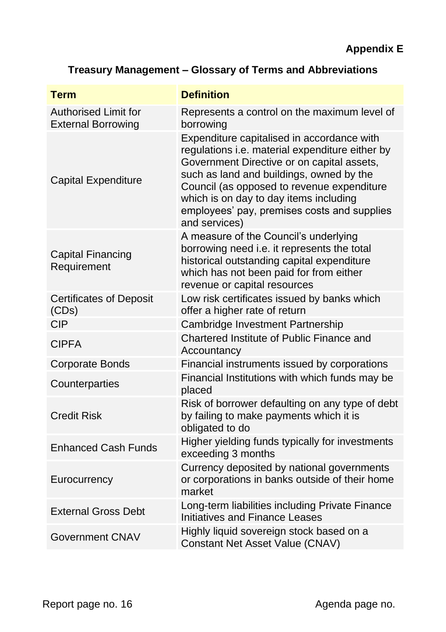# **Treasury Management – Glossary of Terms and Abbreviations**

| <b>Term</b>                                              | <b>Definition</b>                                                                                                                                                                                                                                                                                                                                      |
|----------------------------------------------------------|--------------------------------------------------------------------------------------------------------------------------------------------------------------------------------------------------------------------------------------------------------------------------------------------------------------------------------------------------------|
| <b>Authorised Limit for</b><br><b>External Borrowing</b> | Represents a control on the maximum level of<br>borrowing                                                                                                                                                                                                                                                                                              |
| <b>Capital Expenditure</b>                               | Expenditure capitalised in accordance with<br>regulations <i>i.e.</i> material expenditure either by<br>Government Directive or on capital assets,<br>such as land and buildings, owned by the<br>Council (as opposed to revenue expenditure<br>which is on day to day items including<br>employees' pay, premises costs and supplies<br>and services) |
| <b>Capital Financing</b><br>Requirement                  | A measure of the Council's underlying<br>borrowing need i.e. it represents the total<br>historical outstanding capital expenditure<br>which has not been paid for from either<br>revenue or capital resources                                                                                                                                          |
| <b>Certificates of Deposit</b><br>(CDs)                  | Low risk certificates issued by banks which<br>offer a higher rate of return                                                                                                                                                                                                                                                                           |
| <b>CIP</b>                                               | Cambridge Investment Partnership                                                                                                                                                                                                                                                                                                                       |
| <b>CIPFA</b>                                             | <b>Chartered Institute of Public Finance and</b><br>Accountancy                                                                                                                                                                                                                                                                                        |
| <b>Corporate Bonds</b>                                   | Financial instruments issued by corporations                                                                                                                                                                                                                                                                                                           |
| Counterparties                                           | Financial Institutions with which funds may be<br>placed                                                                                                                                                                                                                                                                                               |
| <b>Credit Risk</b>                                       | Risk of borrower defaulting on any type of debt<br>by failing to make payments which it is<br>obligated to do                                                                                                                                                                                                                                          |
| <b>Enhanced Cash Funds</b>                               | Higher yielding funds typically for investments<br>exceeding 3 months                                                                                                                                                                                                                                                                                  |
| Eurocurrency                                             | Currency deposited by national governments<br>or corporations in banks outside of their home<br>market                                                                                                                                                                                                                                                 |
| <b>External Gross Debt</b>                               | Long-term liabilities including Private Finance<br><b>Initiatives and Finance Leases</b>                                                                                                                                                                                                                                                               |
| <b>Government CNAV</b>                                   | Highly liquid sovereign stock based on a<br><b>Constant Net Asset Value (CNAV)</b>                                                                                                                                                                                                                                                                     |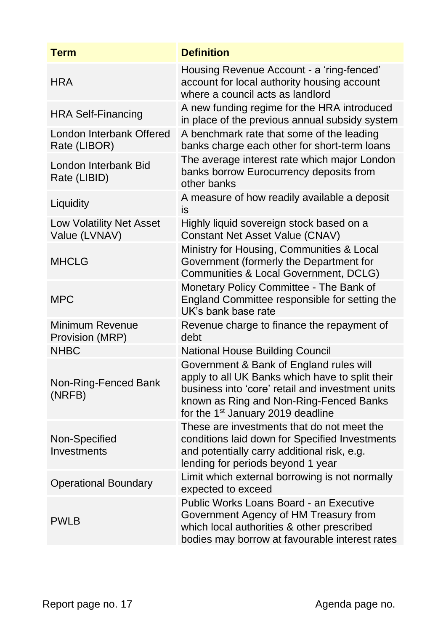| <b>Term</b>                                      | <b>Definition</b>                                                                                                                                                                                                                          |
|--------------------------------------------------|--------------------------------------------------------------------------------------------------------------------------------------------------------------------------------------------------------------------------------------------|
| <b>HRA</b>                                       | Housing Revenue Account - a 'ring-fenced'<br>account for local authority housing account<br>where a council acts as landlord                                                                                                               |
| <b>HRA Self-Financing</b>                        | A new funding regime for the HRA introduced<br>in place of the previous annual subsidy system                                                                                                                                              |
| London Interbank Offered<br>Rate (LIBOR)         | A benchmark rate that some of the leading<br>banks charge each other for short-term loans                                                                                                                                                  |
| London Interbank Bid<br>Rate (LIBID)             | The average interest rate which major London<br>banks borrow Eurocurrency deposits from<br>other banks                                                                                                                                     |
| Liquidity                                        | A measure of how readily available a deposit<br>is                                                                                                                                                                                         |
| <b>Low Volatility Net Asset</b><br>Value (LVNAV) | Highly liquid sovereign stock based on a<br><b>Constant Net Asset Value (CNAV)</b>                                                                                                                                                         |
| <b>MHCLG</b>                                     | Ministry for Housing, Communities & Local<br>Government (formerly the Department for<br>Communities & Local Government, DCLG)                                                                                                              |
| <b>MPC</b>                                       | Monetary Policy Committee - The Bank of<br>England Committee responsible for setting the<br>UK's bank base rate                                                                                                                            |
| <b>Minimum Revenue</b><br>Provision (MRP)        | Revenue charge to finance the repayment of<br>debt                                                                                                                                                                                         |
| <b>NHBC</b>                                      | <b>National House Building Council</b>                                                                                                                                                                                                     |
| Non-Ring-Fenced Bank<br>(NRFB)                   | Government & Bank of England rules will<br>apply to all UK Banks which have to split their<br>business into 'core' retail and investment units<br>known as Ring and Non-Ring-Fenced Banks<br>for the 1 <sup>st</sup> January 2019 deadline |
| Non-Specified<br>Investments                     | These are investments that do not meet the<br>conditions laid down for Specified Investments<br>and potentially carry additional risk, e.g.<br>lending for periods beyond 1 year                                                           |
| <b>Operational Boundary</b>                      | Limit which external borrowing is not normally<br>expected to exceed                                                                                                                                                                       |
| <b>PWLB</b>                                      | <b>Public Works Loans Board - an Executive</b><br>Government Agency of HM Treasury from<br>which local authorities & other prescribed<br>bodies may borrow at favourable interest rates                                                    |